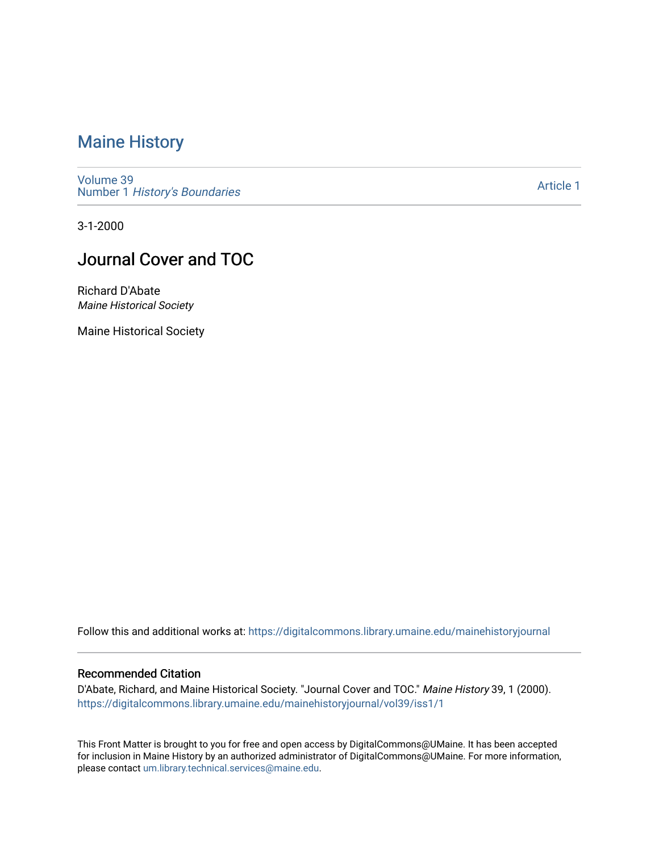### [Maine History](https://digitalcommons.library.umaine.edu/mainehistoryjournal)

[Volume 39](https://digitalcommons.library.umaine.edu/mainehistoryjournal/vol39) Number 1 [History's Boundaries](https://digitalcommons.library.umaine.edu/mainehistoryjournal/vol39/iss1)

[Article 1](https://digitalcommons.library.umaine.edu/mainehistoryjournal/vol39/iss1/1) 

3-1-2000

### Journal Cover and TOC

Richard D'Abate Maine Historical Society

Maine Historical Society

Follow this and additional works at: [https://digitalcommons.library.umaine.edu/mainehistoryjournal](https://digitalcommons.library.umaine.edu/mainehistoryjournal?utm_source=digitalcommons.library.umaine.edu%2Fmainehistoryjournal%2Fvol39%2Fiss1%2F1&utm_medium=PDF&utm_campaign=PDFCoverPages) 

#### Recommended Citation

D'Abate, Richard, and Maine Historical Society. "Journal Cover and TOC." Maine History 39, 1 (2000). [https://digitalcommons.library.umaine.edu/mainehistoryjournal/vol39/iss1/1](https://digitalcommons.library.umaine.edu/mainehistoryjournal/vol39/iss1/1?utm_source=digitalcommons.library.umaine.edu%2Fmainehistoryjournal%2Fvol39%2Fiss1%2F1&utm_medium=PDF&utm_campaign=PDFCoverPages)

This Front Matter is brought to you for free and open access by DigitalCommons@UMaine. It has been accepted for inclusion in Maine History by an authorized administrator of DigitalCommons@UMaine. For more information, please contact [um.library.technical.services@maine.edu.](mailto:um.library.technical.services@maine.edu)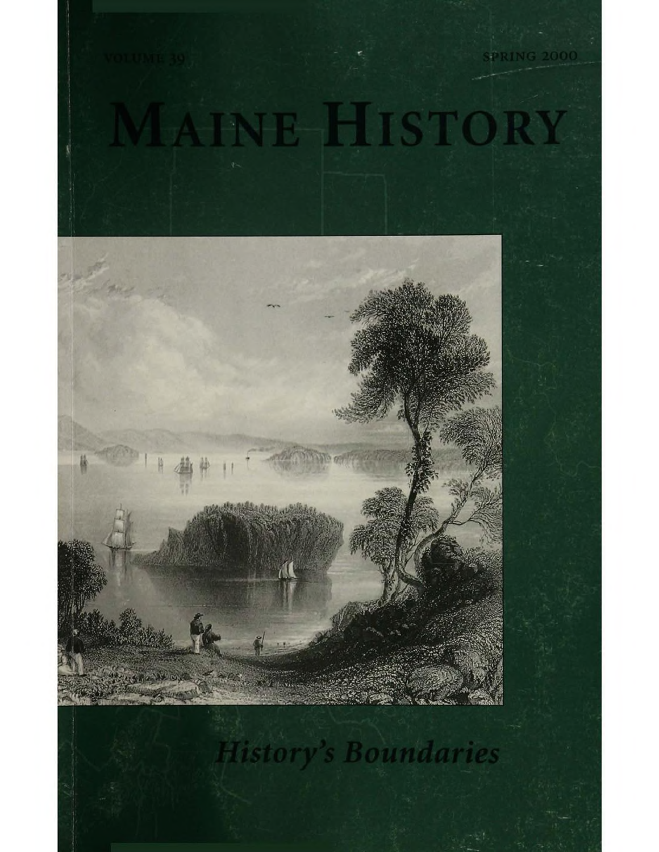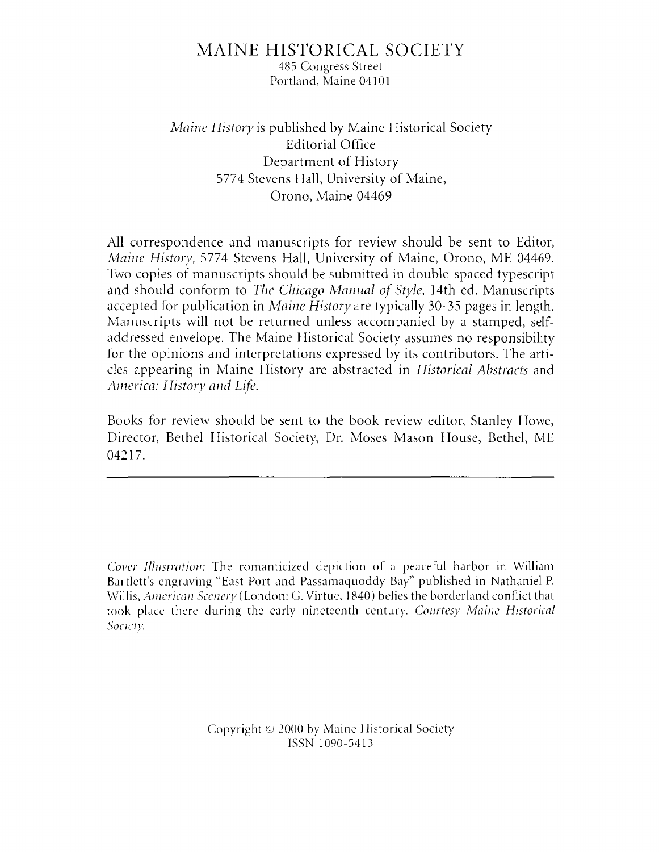### MAINE HISTORICAL SOCIETY

485 Congress Street Portland, Maine 04101

*Maine History* is published by Maine Historical Society Editorial Office Department of History 5774 Stevens Hall, University of Maine, Orono, Maine 04469

All correspondence and manuscripts for review should be sent to Editor, *Maine History*, 5774 Stevens Hall, University of Maine, Orono, ME 04469. Two copies of manuscripts should be submitted in double-spaced typescript and should conform to *The Chicago Manual of Style*, 14th ed. Manuscripts accepted for publication in *Maine History* are typically 30-35 pages in length. Manuscripts will not be returned unless accompanied by a stamped, selfaddressed envelope. The Maine Historical Society assumes no responsibility for the opinions and interpretations expressed by its contributors. The articles appearing in Maine History are abstracted in *Historical Abstracts* and *America: History and Life.*

Books for review should be sent to the book review editor, Stanley Howe, Director, Bethel Historical Society, Dr. Moses Mason House, Bethel, ME 04217.

*Cover Illustration:* The romanticized depiction of a peaceful harbor in William Bartlett's engraving "East Port and Passamaquoddy Bay" published in Nathaniel P. Willis, *American Scenery {*London: G. Virtue, 1840) belies the borderland conflict that took place there during the early nineteenth century. *Courtesy Maine Historical Society*

> Copyright  $\odot$  2000 by Maine Historical Society ISSN 1090-5413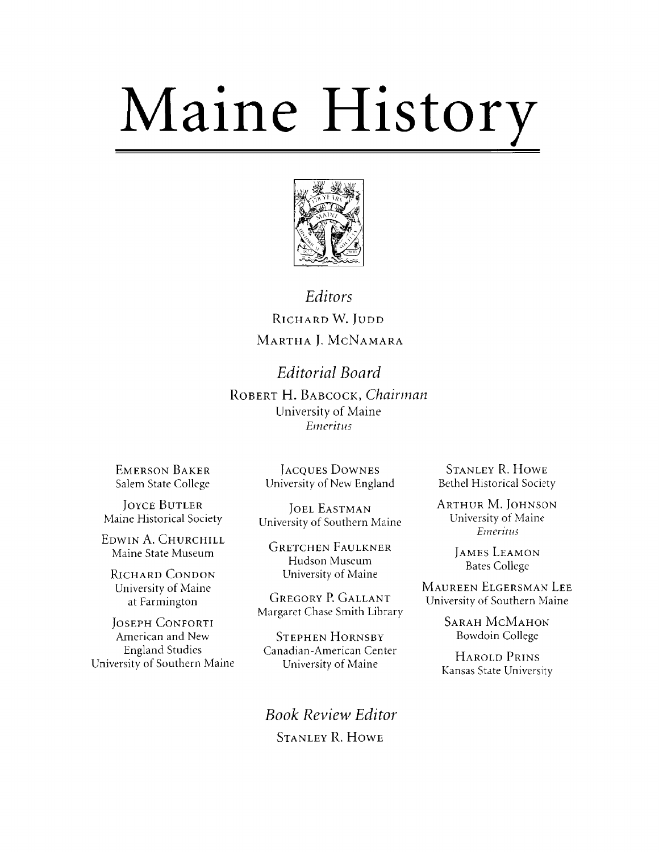# Maine History



### Editors RICHARD W. JUDD MARTHA J. MCNAMARA

**Editorial Board** ROBERT H. BABCOCK, Chairman University of Maine Emeritus

**EMERSON BAKER** Salem State College

**JOYCE BUTLER** Maine Historical Society

EDWIN A. CHURCHILL Maine State Museum

**RICHARD CONDON** University of Maine at Farmington

**JOSEPH CONFORTI** American and New **England Studies** University of Southern Maine

**JACOUES DOWNES** University of New England

**JOEL EASTMAN** University of Southern Maine

**GRETCHEN FAULKNER** Hudson Museum University of Maine

**GREGORY P. GALLANT** Margaret Chase Smith Library

**STEPHEN HORNSBY** Canadian-American Center University of Maine

**Book Review Editor STANLEY R. HOWE** 

**STANLEY R. HOWE Bethel Historical Society** 

**ARTHUR M. JOHNSON** University of Maine **Emeritus** 

> **JAMES LEAMON Bates College**

MAUREEN ELGERSMAN LEE University of Southern Maine

> **SARAH MCMAHON Bowdoin College**

**HAROLD PRINS** Kansas State University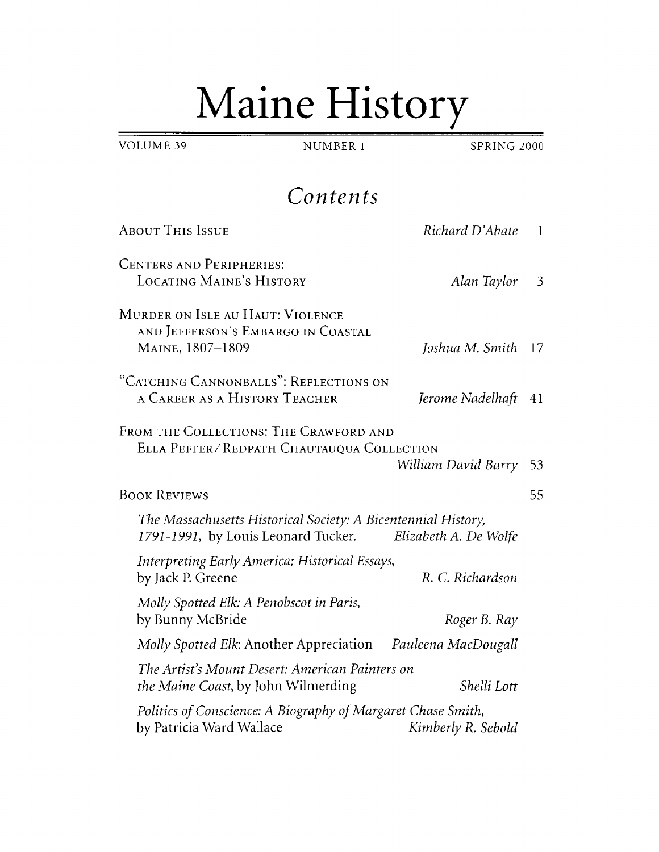## Maine History

NUMBER 1

SPRING 2000

 $\mathbf{1}$ 

 $\overline{3}$ 

**VOLUME 39** 

Contents **ABOUT THIS ISSUE** Richard D'Abate **CENTERS AND PERIPHERIES: LOCATING MAINE'S HISTORY** Alan Taylor MURDER ON ISLE AU HAUT: VIOLENCE AND JEFFERSON'S EMBARGO IN COASTAL MAINE, 1807-1809 Joshua M. Smith 17 "CATCHING CANNONBALLS": REFLECTIONS ON A CAREER AS A HISTORY TEACHER Jerome Nadelhaft 41 FROM THE COLLECTIONS: THE CRAWFORD AND ELLA PEFFER/REDPATH CHAUTAUQUA COLLECTION **BOOK REVIEWS** The Massachusetts Historical Society: A Bicentennial History, 1791-1991, by Louis Leonard Tucker. Elizabeth A. De Wolfe **Interpreting Early America: Historical Essays,** R. C. Richardson by Jack P. Greene Molly Spotted Elk: A Penobscot in Paris, by Bunny McBride Roger B. Ray

William David Barry 53 55 Molly Spotted Elk: Another Appreciation Pauleena MacDougall The Artist's Mount Desert: American Painters on Shelli Lott *the Maine Coast*, by John Wilmerding Politics of Conscience: A Biography of Margaret Chase Smith, by Patricia Ward Wallace Kimberly R. Sebold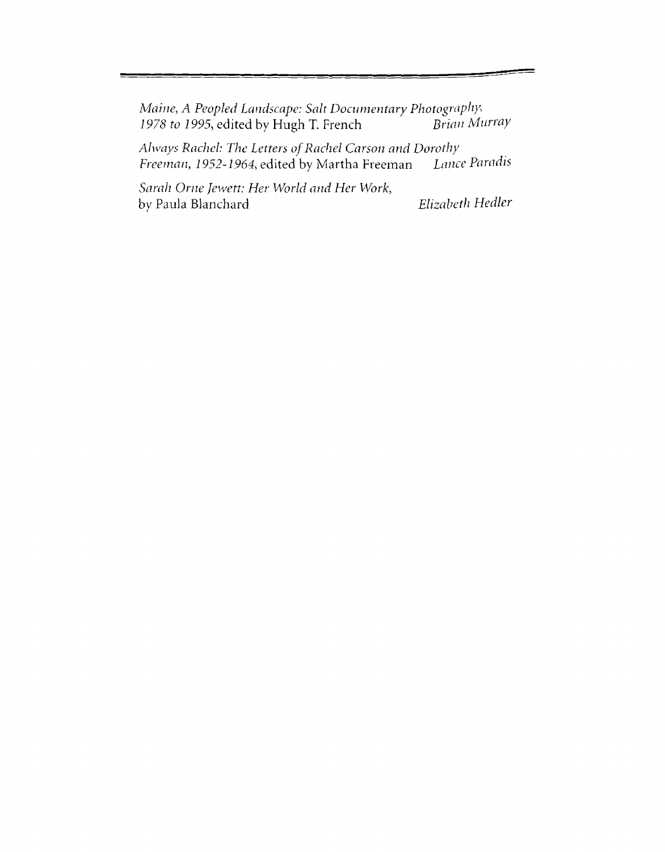*Maine,* A *Peopled Landscape: Salt Documentary Photography\** 1978 to 1995, edited by Hugh T. French

*Always Rachel: The Letters of Rachel Carson and Dorothy*<br>*Freeman, 1952-1964*, edited by Martha Freeman *Lance Paradis Freeman, 1952-1964, edited by Martha Freeman* 

*Sarah Orne Jewett: Her World and Her Work,* by Paula Blanchard *Elizabeth Hedler*